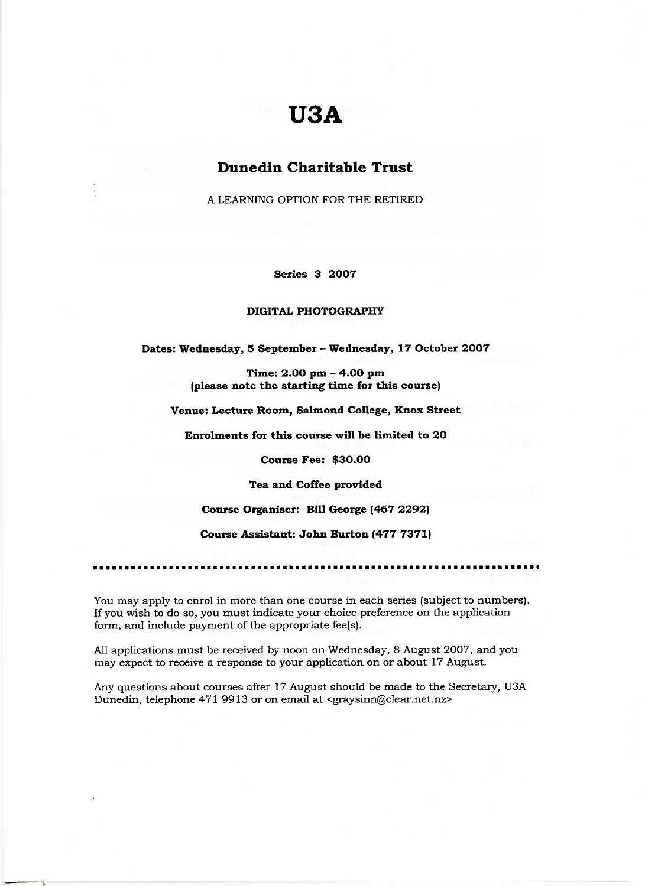# **U3A**

# **Dunedin Charitable Trust**

A LEARNING OPTION FOR THE RETIRED

**Series 3 2007**

#### **DIGITAL PHOTOGRAPHY**

**Dates: Wednesday, 5 September - Wednesday, 17 October 2007**

**Time: 2.00 pm - 4.00 pm (please note the starting time for this course)**

**Venue: Lecture Room,** Salmond **College, Knox Street**

**Enrolments for this course will be limited to 20**

**Course Fee: \$30.00**

**Tea and Coffee provided**

**Course Organiser: Bill George (467 2292)**

**Course Assistant: John Burton (477 7371)**

You may apply to enrol in more than one course in each series (subject to numbers). If you wish to do so, you must indicate your choice preference on the application form, and include payment of the appropriate fee(s).

All applications must be received by noon on Wednesday, 8 August 2007, and you may expect to receive a response to your application on or about 17 August.

Any questions about courses after 17 August should be made to the Secretary, USA Dunedin, telephone 471 9913 or on email at <graysinn@clear.net.nz>